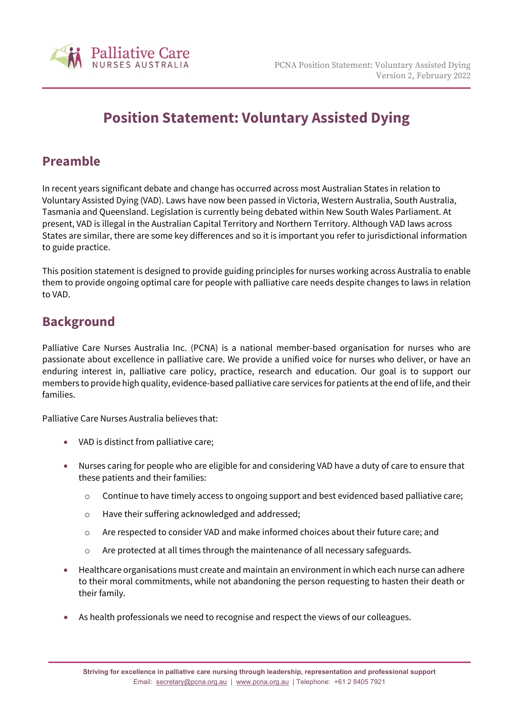

# **Position Statement: Voluntary Assisted Dying**

#### **Preamble**

In recent years significant debate and change has occurred across most Australian States in relation to Voluntary Assisted Dying (VAD). Laws have now been passed in Victoria, Western Australia, South Australia, Tasmania and Queensland. Legislation is currently being debated within New South Wales Parliament. At present, VAD is illegal in the Australian Capital Territory and Northern Territory. Although VAD laws across States are similar, there are some key differences and so it is important you refer to jurisdictional information to guide practice.

This position statement is designed to provide guiding principles for nurses working across Australia to enable them to provide ongoing optimal care for people with palliative care needs despite changes to laws in relation to VAD.

## **Background**

Palliative Care Nurses Australia Inc. (PCNA) is a national member-based organisation for nurses who are passionate about excellence in palliative care. We provide a unified voice for nurses who deliver, or have an enduring interest in, palliative care policy, practice, research and education. Our goal is to support our members to provide high quality, evidence-based palliative care services for patients at the end of life, and their families.

Palliative Care Nurses Australia believes that:

- VAD is distinct from palliative care;
- Nurses caring for people who are eligible for and considering VAD have a duty of care to ensure that these patients and their families:
	- o Continue to have timely access to ongoing support and best evidenced based palliative care;
	- o Have their suffering acknowledged and addressed;
	- o Are respected to consider VAD and make informed choices about their future care; and
	- o Are protected at all times through the maintenance of all necessary safeguards.
- Healthcare organisations must create and maintain an environment in which each nurse can adhere to their moral commitments, while not abandoning the person requesting to hasten their death or their family.
- As health professionals we need to recognise and respect the views of our colleagues.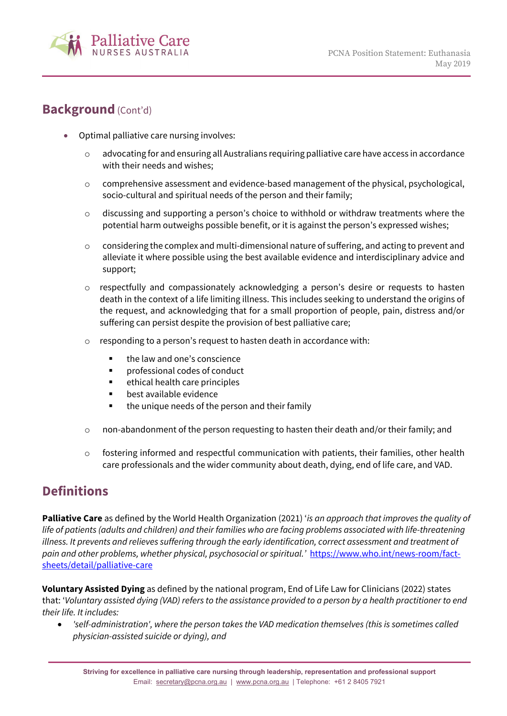

#### **Background** (Cont'd)

- Optimal palliative care nursing involves:
	- o advocating for and ensuring all Australians requiring palliative care have access in accordance with their needs and wishes;
	- o comprehensive assessment and evidence-based management of the physical, psychological, socio-cultural and spiritual needs of the person and their family;
	- o discussing and supporting a person's choice to withhold or withdraw treatments where the potential harm outweighs possible benefit, or it is against the person's expressed wishes;
	- o considering the complex and multi-dimensional nature of suffering, and acting to prevent and alleviate it where possible using the best available evidence and interdisciplinary advice and support;
	- o respectfully and compassionately acknowledging a person's desire or requests to hasten death in the context of a life limiting illness. This includes seeking to understand the origins of the request, and acknowledging that for a small proportion of people, pain, distress and/or suffering can persist despite the provision of best palliative care;
	- responding to a person's request to hasten death in accordance with:
		- **the law and one's conscience**
		- $\blacksquare$  professional codes of conduct
		- ethical health care principles
		- best available evidence
		- the unique needs of the person and their family
	- $\circ$  non-abandonment of the person requesting to hasten their death and/or their family; and
	- $\circ$  fostering informed and respectful communication with patients, their families, other health care professionals and the wider community about death, dying, end of life care, and VAD.

## **Definitions**

**Palliative Care** as defined by the World Health Organization (2021) '*is an approach that improves the quality of life of patients (adults and children) and their families who are facing problems associated with life-threatening illness. It prevents and relieves suffering through the early identification, correct assessment and treatment of pain and other problems, whether physical, psychosocial or spiritual.'* [https://www.who.int/news-room/fact](https://www.who.int/news-room/fact-sheets/detail/palliative-care)[sheets/detail/palliative-care](https://www.who.int/news-room/fact-sheets/detail/palliative-care) 

**Voluntary Assisted Dying** as defined by the national program, End of Life Law for Clinicians (2022) states that: '*Voluntary assisted dying (VAD) refers to the assistance provided to a person by a health practitioner to end their life. It includes:*

• *'self-administration', where the person takes the VAD medication themselves (this is sometimes called physician-assisted suicide or dying), and*